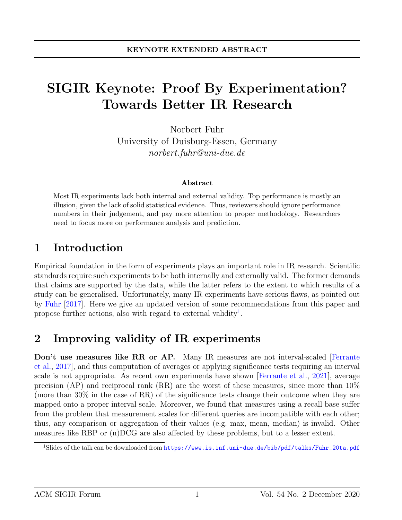# SIGIR Keynote: Proof By Experimentation? Towards Better IR Research

Norbert Fuhr University of Duisburg-Essen, Germany norbert.fuhr@uni-due.de

#### Abstract

Most IR experiments lack both internal and external validity. Top performance is mostly an illusion, given the lack of solid statistical evidence. Thus, reviewers should ignore performance numbers in their judgement, and pay more attention to proper methodology. Researchers need to focus more on performance analysis and prediction.

### 1 Introduction

Empirical foundation in the form of experiments plays an important role in IR research. Scientific standards require such experiments to be both internally and externally valid. The former demands that claims are supported by the data, while the latter refers to the extent to which results of a study can be generalised. Unfortunately, many IR experiments have serious flaws, as pointed out by [Fuhr](#page-3-0) [\[2017\]](#page-3-0). Here we give an updated version of some recommendations from this paper and propose further actions, also with regard to external validity<sup>[1](#page-0-0)</sup>.

#### 2 Improving validity of IR experiments

Don't use measures like RR or AP. Many IR measures are not interval-scaled Ferrante [et al.,](#page-3-1) [2017\]](#page-3-1), and thus computation of averages or applying significance tests requiring an interval scale is not appropriate. As recent own experiments have shown [\[Ferrante et al.,](#page-3-2) [2021\]](#page-3-2), average precision (AP) and reciprocal rank (RR) are the worst of these measures, since more than 10% (more than 30% in the case of RR) of the significance tests change their outcome when they are mapped onto a proper interval scale. Moreover, we found that measures using a recall base suffer from the problem that measurement scales for different queries are incompatible with each other; thus, any comparison or aggregation of their values (e.g. max, mean, median) is invalid. Other measures like RBP or (n)DCG are also affected by these problems, but to a lesser extent.

<span id="page-0-0"></span><sup>&</sup>lt;sup>1</sup>Slides of the talk can be downloaded from [https://www.is.inf.uni-due.de/bib/pdf/talks/Fuhr\\_20ta.pdf](https://www.is.inf.uni-due.de/bib/pdf/talks/Fuhr_20ta.pdf)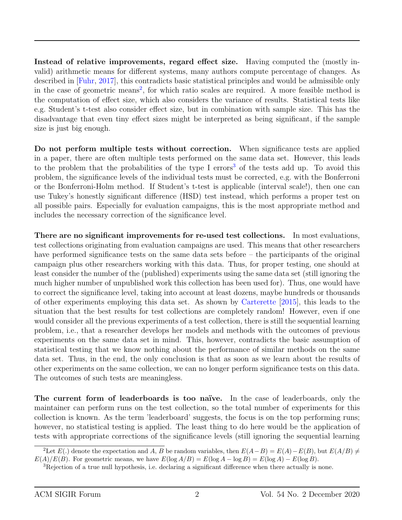Instead of relative improvements, regard effect size. Having computed the (mostly invalid) arithmetic means for different systems, many authors compute percentage of changes. As described in [\[Fuhr,](#page-3-0) [2017\]](#page-3-0), this contradicts basic statistical principles and would be admissible only in the case of geometric means<sup>[2](#page-1-0)</sup>, for which ratio scales are required. A more feasible method is the computation of effect size, which also considers the variance of results. Statistical tests like e.g. Student's t-test also consider effect size, but in combination with sample size. This has the disadvantage that even tiny effect sizes might be interpreted as being significant, if the sample size is just big enough.

Do not perform multiple tests without correction. When significance tests are applied in a paper, there are often multiple tests performed on the same data set. However, this leads to the problem that the probabilities of the type I errors<sup>[3](#page-1-1)</sup> of the tests add up. To avoid this problem, the significance levels of the individual tests must be corrected, e.g. with the Bonferroni or the Bonferroni-Holm method. If Student's t-test is applicable (interval scale!), then one can use Tukey's honestly significant difference (HSD) test instead, which performs a proper test on all possible pairs. Especially for evaluation campaigns, this is the most appropriate method and includes the necessary correction of the significance level.

There are no significant improvements for re-used test collections. In most evaluations, test collections originating from evaluation campaigns are used. This means that other researchers have performed significance tests on the same data sets before – the participants of the original campaign plus other researchers working with this data. Thus, for proper testing, one should at least consider the number of the (published) experiments using the same data set (still ignoring the much higher number of unpublished work this collection has been used for). Thus, one would have to correct the significance level, taking into account at least dozens, maybe hundreds or thousands of other experiments employing this data set. As shown by [Carterette](#page-3-3) [\[2015\]](#page-3-3), this leads to the situation that the best results for test collections are completely random! However, even if one would consider all the previous experiments of a test collection, there is still the sequential learning problem, i.e., that a researcher develops her models and methods with the outcomes of previous experiments on the same data set in mind. This, however, contradicts the basic assumption of statistical testing that we know nothing about the performance of similar methods on the same data set. Thus, in the end, the only conclusion is that as soon as we learn about the results of other experiments on the same collection, we can no longer perform significance tests on this data. The outcomes of such tests are meaningless.

The current form of leaderboards is too naïve. In the case of leaderboards, only the maintainer can perform runs on the test collection, so the total number of experiments for this collection is known. As the term 'leaderboard' suggests, the focus is on the top performing runs; however, no statistical testing is applied. The least thing to do here would be the application of tests with appropriate corrections of the significance levels (still ignoring the sequential learning

<span id="page-1-0"></span><sup>&</sup>lt;sup>2</sup>Let  $E(.)$  denote the expectation and A, B be random variables, then  $E(A-B) = E(A) - E(B)$ , but  $E(A/B) \neq$  $E(A)/E(B)$ . For geometric means, we have  $E(\log A/B) = E(\log A - \log B) = E(\log A) - E(\log B)$ .

<span id="page-1-1"></span><sup>&</sup>lt;sup>3</sup>Rejection of a true null hypothesis, i.e. declaring a significant difference when there actually is none.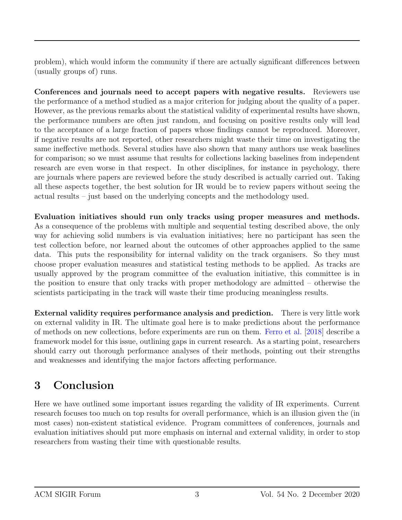problem), which would inform the community if there are actually significant differences between (usually groups of) runs.

Conferences and journals need to accept papers with negative results. Reviewers use the performance of a method studied as a major criterion for judging about the quality of a paper. However, as the previous remarks about the statistical validity of experimental results have shown, the performance numbers are often just random, and focusing on positive results only will lead to the acceptance of a large fraction of papers whose findings cannot be reproduced. Moreover, if negative results are not reported, other researchers might waste their time on investigating the same ineffective methods. Several studies have also shown that many authors use weak baselines for comparison; so we must assume that results for collections lacking baselines from independent research are even worse in that respect. In other disciplines, for instance in psychology, there are journals where papers are reviewed before the study described is actually carried out. Taking all these aspects together, the best solution for IR would be to review papers without seeing the actual results – just based on the underlying concepts and the methodology used.

Evaluation initiatives should run only tracks using proper measures and methods. As a consequence of the problems with multiple and sequential testing described above, the only way for achieving solid numbers is via evaluation initiatives; here no participant has seen the test collection before, nor learned about the outcomes of other approaches applied to the same data. This puts the responsibility for internal validity on the track organisers. So they must choose proper evaluation measures and statistical testing methods to be applied. As tracks are usually approved by the program committee of the evaluation initiative, this committee is in the position to ensure that only tracks with proper methodology are admitted – otherwise the scientists participating in the track will waste their time producing meaningless results.

External validity requires performance analysis and prediction. There is very little work on external validity in IR. The ultimate goal here is to make predictions about the performance of methods on new collections, before experiments are run on them. [Ferro et al.](#page-3-4) [\[2018\]](#page-3-4) describe a framework model for this issue, outlining gaps in current research. As a starting point, researchers should carry out thorough performance analyses of their methods, pointing out their strengths and weaknesses and identifying the major factors affecting performance.

## 3 Conclusion

Here we have outlined some important issues regarding the validity of IR experiments. Current research focuses too much on top results for overall performance, which is an illusion given the (in most cases) non-existent statistical evidence. Program committees of conferences, journals and evaluation initiatives should put more emphasis on internal and external validity, in order to stop researchers from wasting their time with questionable results.